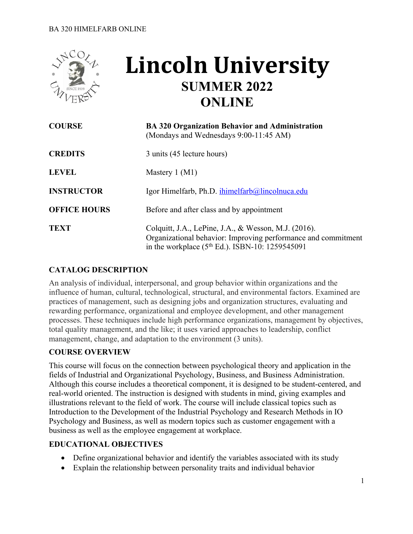

# **Lincoln University SUMMER 2022 ONLINE**

| <b>COURSE</b>       | <b>BA 320 Organization Behavior and Administration</b><br>(Mondays and Wednesdays 9:00-11:45 AM)                                                                              |
|---------------------|-------------------------------------------------------------------------------------------------------------------------------------------------------------------------------|
| <b>CREDITS</b>      | 3 units (45 lecture hours)                                                                                                                                                    |
| <b>LEVEL</b>        | Mastery $1 (M1)$                                                                                                                                                              |
| <b>INSTRUCTOR</b>   | Igor Himelfarb, Ph.D. ihimelfarb@lincolnuca.edu                                                                                                                               |
| <b>OFFICE HOURS</b> | Before and after class and by appointment                                                                                                                                     |
| <b>TEXT</b>         | Colquitt, J.A., LePine, J.A., & Wesson, M.J. (2016).<br>Organizational behavior: Improving performance and commitment<br>in the workplace $(5^{th}$ Ed.). ISBN-10: 1259545091 |

# **CATALOG DESCRIPTION**

An analysis of individual, interpersonal, and group behavior within organizations and the influence of human, cultural, technological, structural, and environmental factors. Examined are practices of management, such as designing jobs and organization structures, evaluating and rewarding performance, organizational and employee development, and other management processes. These techniques include high performance organizations, management by objectives, total quality management, and the like; it uses varied approaches to leadership, conflict management, change, and adaptation to the environment (3 units).

#### **COURSE OVERVIEW**

This course will focus on the connection between psychological theory and application in the fields of Industrial and Organizational Psychology, Business, and Business Administration. Although this course includes a theoretical component, it is designed to be student-centered, and real-world oriented. The instruction is designed with students in mind, giving examples and illustrations relevant to the field of work. The course will include classical topics such as Introduction to the Development of the Industrial Psychology and Research Methods in IO Psychology and Business, as well as modern topics such as customer engagement with a business as well as the employee engagement at workplace.

#### **EDUCATIONAL OBJECTIVES**

- Define organizational behavior and identify the variables associated with its study
- Explain the relationship between personality traits and individual behavior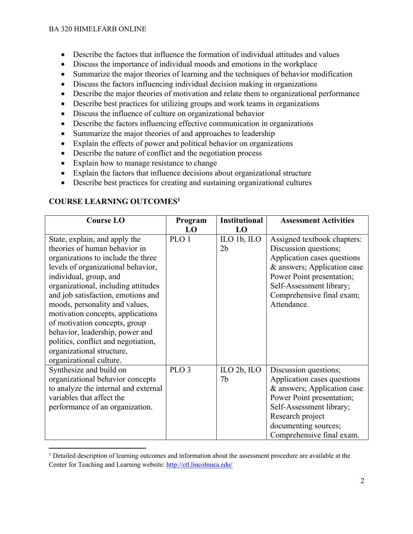- Describe the factors that influence the formation of individual attitudes and values
- Discuss the importance of individual moods and emotions in the workplace
- Summarize the major theories of learning and the techniques of behavior modification
- Discuss the factors influencing individual decision making in organizations
- Describe the major theories of motivation and relate them to organizational performance
- Describe best practices for utilizing groups and work teams in organizations
- Discuss the influence of culture on organizational behavior
- Describe the factors influencing effective communication in organizations
- Summarize the major theories of and approaches to leadership
- Explain the effects of power and political behavior on organizations
- Describe the nature of conflict and the negotiation process
- Explain how to manage resistance to change
- Explain the factors that influence decisions about organizational structure
- Describe best practices for creating and sustaining organizational cultures

# **COURSE LEARNING OUTCOMES1**

| <b>Course LO</b>                     | Program          | <b>Institutional</b> | <b>Assessment Activities</b> |
|--------------------------------------|------------------|----------------------|------------------------------|
|                                      | <b>LO</b>        | L <sub>0</sub>       |                              |
| State, explain, and apply the        | PLO 1            | ILO 1b, ILO          | Assigned textbook chapters:  |
| theories of human behavior in        |                  | 2 <sub>b</sub>       | Discussion questions;        |
| organizations to include the three   |                  |                      | Application cases questions  |
| levels of organizational behavior,   |                  |                      | & answers; Application case  |
| individual, group, and               |                  |                      | Power Point presentation;    |
| organizational, including attitudes  |                  |                      | Self-Assessment library;     |
| and job satisfaction, emotions and   |                  |                      | Comprehensive final exam;    |
| moods, personality and values,       |                  |                      | Attendance.                  |
| motivation concepts, applications    |                  |                      |                              |
| of motivation concepts, group        |                  |                      |                              |
| behavior, leadership, power and      |                  |                      |                              |
| politics, conflict and negotiation,  |                  |                      |                              |
| organizational structure,            |                  |                      |                              |
| organizational culture.              |                  |                      |                              |
| Synthesize and build on              | PLO <sub>3</sub> | ILO $2b$ , ILO       | Discussion questions;        |
| organizational behavior concepts     |                  | 7 <sub>b</sub>       | Application cases questions  |
| to analyze the internal and external |                  |                      | & answers; Application case  |
| variables that affect the            |                  |                      | Power Point presentation;    |
| performance of an organization.      |                  |                      | Self-Assessment library;     |
|                                      |                  |                      | Research project             |
|                                      |                  |                      | documenting sources;         |
|                                      |                  |                      | Comprehensive final exam.    |

 $1$  Detailed description of learning outcomes and information about the assessment procedure are available at the Center for Teaching and Learning website: http://ctl.lincolnuca.edu/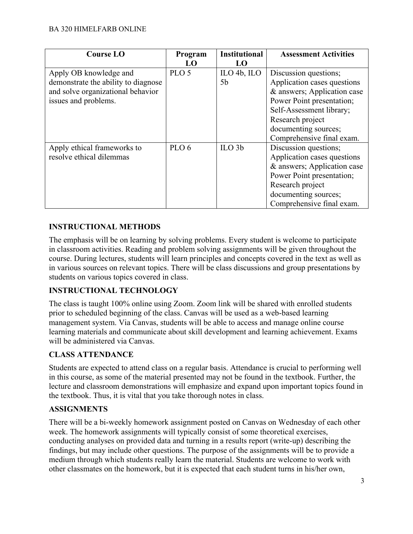| <b>Course LO</b>                    | Program          | <b>Institutional</b>                                | <b>Assessment Activities</b> |
|-------------------------------------|------------------|-----------------------------------------------------|------------------------------|
|                                     | LO               | LO                                                  |                              |
| Apply OB knowledge and              | PLO <sub>5</sub> | $\mathop{\mathrm{ILO}}$ 4b, $\mathop{\mathrm{ILO}}$ | Discussion questions;        |
| demonstrate the ability to diagnose |                  | 5 <sub>b</sub>                                      | Application cases questions  |
| and solve organizational behavior   |                  |                                                     | & answers; Application case  |
| issues and problems.                |                  |                                                     | Power Point presentation;    |
|                                     |                  |                                                     | Self-Assessment library;     |
|                                     |                  |                                                     | Research project             |
|                                     |                  |                                                     | documenting sources;         |
|                                     |                  |                                                     | Comprehensive final exam.    |
| Apply ethical frameworks to         | PLO <sub>6</sub> | ILO <sub>3b</sub>                                   | Discussion questions;        |
| resolve ethical dilemmas            |                  |                                                     | Application cases questions  |
|                                     |                  |                                                     | & answers; Application case  |
|                                     |                  |                                                     | Power Point presentation;    |
|                                     |                  |                                                     | Research project             |
|                                     |                  |                                                     | documenting sources;         |
|                                     |                  |                                                     | Comprehensive final exam.    |

# **INSTRUCTIONAL METHODS**

The emphasis will be on learning by solving problems. Every student is welcome to participate in classroom activities. Reading and problem solving assignments will be given throughout the course. During lectures, students will learn principles and concepts covered in the text as well as in various sources on relevant topics. There will be class discussions and group presentations by students on various topics covered in class.

#### **INSTRUCTIONAL TECHNOLOGY**

The class is taught 100% online using Zoom. Zoom link will be shared with enrolled students prior to scheduled beginning of the class. Canvas will be used as a web-based learning management system. Via Canvas, students will be able to access and manage online course learning materials and communicate about skill development and learning achievement. Exams will be administered via Canvas.

#### **CLASS ATTENDANCE**

Students are expected to attend class on a regular basis. Attendance is crucial to performing well in this course, as some of the material presented may not be found in the textbook. Further, the lecture and classroom demonstrations will emphasize and expand upon important topics found in the textbook. Thus, it is vital that you take thorough notes in class.

#### **ASSIGNMENTS**

There will be a bi-weekly homework assignment posted on Canvas on Wednesday of each other week. The homework assignments will typically consist of some theoretical exercises, conducting analyses on provided data and turning in a results report (write-up) describing the findings, but may include other questions. The purpose of the assignments will be to provide a medium through which students really learn the material. Students are welcome to work with other classmates on the homework, but it is expected that each student turns in his/her own,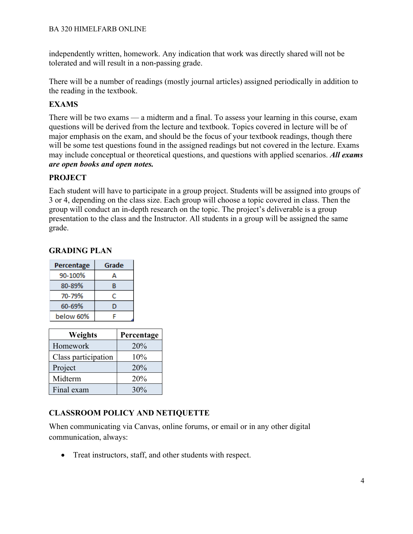independently written, homework. Any indication that work was directly shared will not be tolerated and will result in a non-passing grade.

There will be a number of readings (mostly journal articles) assigned periodically in addition to the reading in the textbook.

# **EXAMS**

There will be two exams — a midterm and a final. To assess your learning in this course, exam questions will be derived from the lecture and textbook. Topics covered in lecture will be of major emphasis on the exam, and should be the focus of your textbook readings, though there will be some test questions found in the assigned readings but not covered in the lecture. Exams may include conceptual or theoretical questions, and questions with applied scenarios. *All exams are open books and open notes.*

# **PROJECT**

Each student will have to participate in a group project. Students will be assigned into groups of 3 or 4, depending on the class size. Each group will choose a topic covered in class. Then the group will conduct an in-depth research on the topic. The project's deliverable is a group presentation to the class and the Instructor. All students in a group will be assigned the same grade.

| Percentage | Grade |
|------------|-------|
| 90-100%    | А     |
| 80-89%     | R     |
| 70-79%     | с     |
| 60-69%     | D     |
| below 60%  | ⊏     |

#### **GRADING PLAN**

| Weights             | Percentage |
|---------------------|------------|
| Homework            | 20%        |
| Class participation | 10%        |
| Project             | 20%        |
| Midterm             | 20%        |
| Final exam          | 30%        |

# **CLASSROOM POLICY AND NETIQUETTE**

When communicating via Canvas, online forums, or email or in any other digital communication, always:

• Treat instructors, staff, and other students with respect.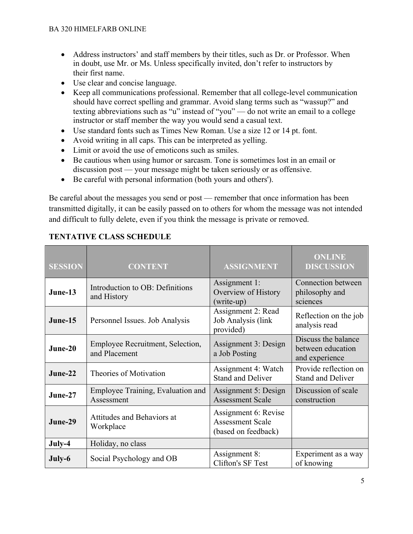- Address instructors' and staff members by their titles, such as Dr. or Professor. When in doubt, use Mr. or Ms. Unless specifically invited, don't refer to instructors by their first name.
- Use clear and concise language.
- Keep all communications professional. Remember that all college-level communication should have correct spelling and grammar. Avoid slang terms such as "wassup?" and texting abbreviations such as "u" instead of "you" — do not write an email to a college instructor or staff member the way you would send a casual text.
- Use standard fonts such as Times New Roman. Use a size 12 or 14 pt. font.
- Avoid writing in all caps. This can be interpreted as yelling.
- Limit or avoid the use of emoticons such as smiles.
- Be cautious when using humor or sarcasm. Tone is sometimes lost in an email or discussion post — your message might be taken seriously or as offensive.
- Be careful with personal information (both yours and others').

Be careful about the messages you send or post — remember that once information has been transmitted digitally, it can be easily passed on to others for whom the message was not intended and difficult to fully delete, even if you think the message is private or removed.

| <b>SESSION</b> | <b>CONTENT</b>                                    | <b>ASSIGNMENT</b>                                                      | <b>ONLINE</b><br><b>DISCUSSION</b>                         |
|----------------|---------------------------------------------------|------------------------------------------------------------------------|------------------------------------------------------------|
| June-13        | Introduction to OB: Definitions<br>and History    | Assignment 1:<br>Overview of History<br>(write-up)                     | Connection between<br>philosophy and<br>sciences           |
| June-15        | Personnel Issues. Job Analysis                    | Assignment 2: Read<br>Job Analysis (link<br>provided)                  | Reflection on the job<br>analysis read                     |
| $June-20$      | Employee Recruitment, Selection,<br>and Placement | Assignment 3: Design<br>a Job Posting                                  | Discuss the balance<br>between education<br>and experience |
| June-22        | Theories of Motivation                            | Assignment 4: Watch<br><b>Stand and Deliver</b>                        | Provide reflection on<br><b>Stand and Deliver</b>          |
| June-27        | Employee Training, Evaluation and<br>Assessment   | Assignment 5: Design<br><b>Assessment Scale</b>                        | Discussion of scale<br>construction                        |
| June-29        | Attitudes and Behaviors at<br>Workplace           | Assignment 6: Revise<br><b>Assessment Scale</b><br>(based on feedback) |                                                            |
| July-4         | Holiday, no class                                 |                                                                        |                                                            |
| July-6         | Social Psychology and OB                          | Assignment 8:<br>Clifton's SF Test                                     | Experiment as a way<br>of knowing                          |

# **TENTATIVE CLASS SCHEDULE**